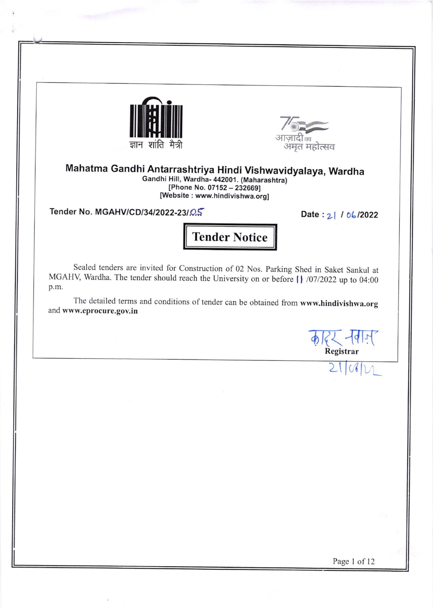



Mahatma Gandhi Antarrashtriya Hindi Vishwavidyalaya, Wardha Gandhi Hi[, Wardha- 442001. (Maharashtra) [Phone No. 07152 - 232669] [Website : www.hindivishwa.org]

Tender No. MGAHV/CD/34/2022-23/ $Q_{\infty}$  Date: 21 / 06/2022

Tender Notice

Sealed tenders are invited for construction of 02 Nos. parking Shed in Saket Sankul at MGAHV, Wardha. The tender should reach the University on or before  $\int$  /07/2022 up to 04:00 p.m.

The detailed terms and conditions of tender can be obtained from www.hindivishwa.org and www,eprocure.gov.in

**4) हिन्द - 1912** Registrar

 $2101$ 

 $\cup$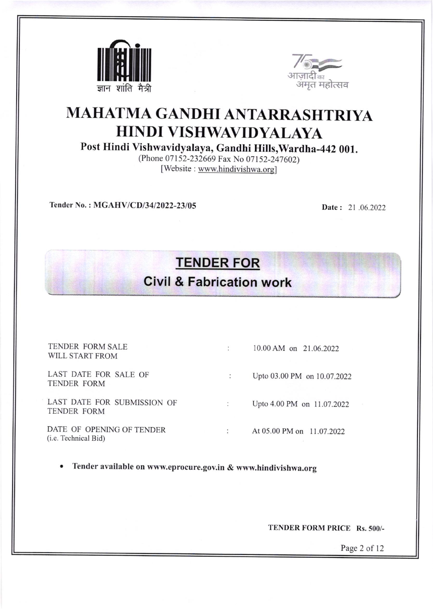



## MAHATMA GANDHI ANTARRASHTRIYA HINDI VISHWAVIDYALAYA

Post Hindi Vishwavidyalaya, Gandhi Hills,Wardha-442 001.

(Phone 07152-232669 Fax No 07152-247602) [Website : www.hindivishwa.org]

Tender No. : MGAHV/CD/34/2022-23/05 Date : 21 .06.2022

## TENDER FOR

## Civil & Fabrication work

| TENDER FORM SALE<br>WILL START FROM                       | 10.00 AM on 21.06.2022      |
|-----------------------------------------------------------|-----------------------------|
| LAST DATE FOR SALE OF<br>TENDER FORM                      | Upto 03.00 PM on 10.07.2022 |
| LAST DATE FOR SUBMISSION OF<br><b>TENDER FORM</b>         | Upto 4.00 PM on 11.07.2022  |
| DATE OF OPENING OF TENDER<br>( <i>i.e.</i> Technical Bid) | At 05.00 PM on 11.07.2022   |

Tender available on www.eprocure.gov.in & www.hindivishwa.org

TENDER FORM PRICE Rs. 500/-

Page 2 of <sup>12</sup>